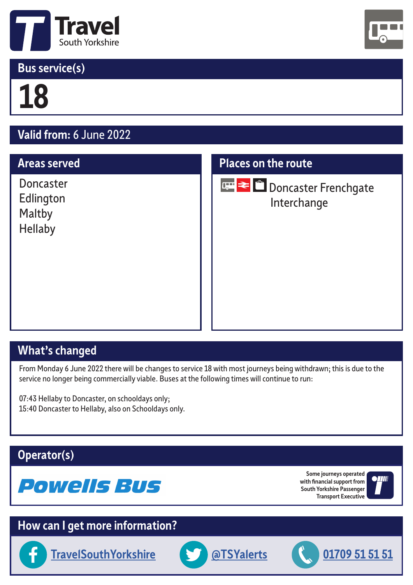

## **Bus service(s)**



# **18**

# **Valid from:** 6 June 2022

#### **Areas served**

Doncaster Edlington Maltby Hellaby

#### **Places on the route**



**Doncaster Frenchgate** Interchange

# **What's changed**

From Monday 6 June 2022 there will be changes to service 18 with most journeys being withdrawn; this is due to the service no longer being commercially viable. Buses at the following times will continue to run:

07:43 Hellaby to Doncaster, on schooldays only; 15:40 Doncaster to Hellaby, also on Schooldays only.

#### **Operator(s)**



**Some journeys operated with financial support from South Yorkshire Passenger Transport Executive**



## **How can I get more information?**